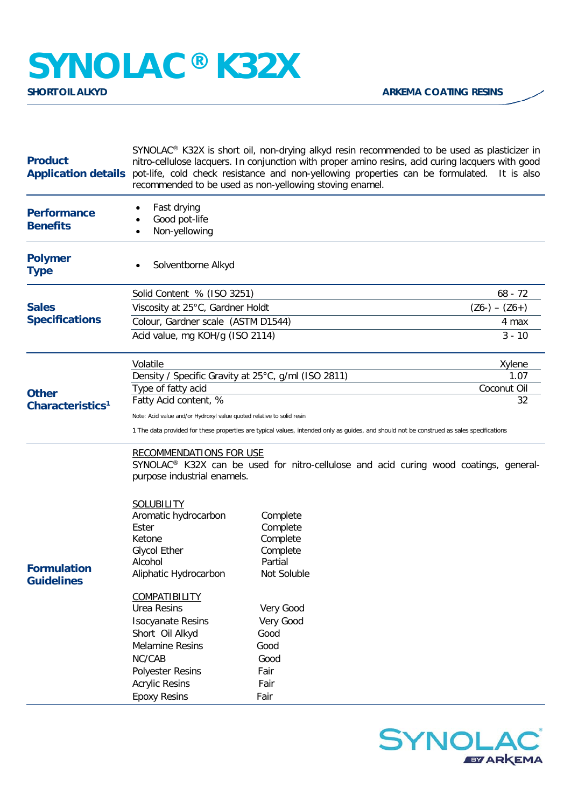## **SYNOLAC®** K32X

| <b>Product</b><br><b>Application details</b> | SYNOLAC <sup>®</sup> K32X is short oil, non-drying alkyd resin recommended to be used as plasticizer in<br>nitro-cellulose lacquers. In conjunction with proper amino resins, acid curing lacquers with good<br>pot-life, cold check resistance and non-yellowing properties can be formulated. It is also<br>recommended to be used as non-yellowing stoving enamel. |                                                                        |                 |  |
|----------------------------------------------|-----------------------------------------------------------------------------------------------------------------------------------------------------------------------------------------------------------------------------------------------------------------------------------------------------------------------------------------------------------------------|------------------------------------------------------------------------|-----------------|--|
| <b>Performance</b><br><b>Benefits</b>        | Fast drying<br>Good pot-life<br>Non-yellowing                                                                                                                                                                                                                                                                                                                         |                                                                        |                 |  |
| <b>Polymer</b><br><b>Type</b>                | Solventborne Alkyd                                                                                                                                                                                                                                                                                                                                                    |                                                                        |                 |  |
| <b>Sales</b><br><b>Specifications</b>        | Solid Content % (ISO 3251)                                                                                                                                                                                                                                                                                                                                            |                                                                        | $68 - 72$       |  |
|                                              | Viscosity at 25°C, Gardner Holdt                                                                                                                                                                                                                                                                                                                                      |                                                                        | $(Z6-) - (Z6+)$ |  |
|                                              | Colour, Gardner scale (ASTM D1544)                                                                                                                                                                                                                                                                                                                                    |                                                                        | 4 max           |  |
|                                              | Acid value, mg KOH/g (ISO 2114)                                                                                                                                                                                                                                                                                                                                       |                                                                        | $3 - 10$        |  |
| <b>Other</b><br>Characteristics <sup>1</sup> | Volatile                                                                                                                                                                                                                                                                                                                                                              |                                                                        | Xylene          |  |
|                                              | Density / Specific Gravity at 25°C, g/ml (ISO 2811)                                                                                                                                                                                                                                                                                                                   |                                                                        | 1.07            |  |
|                                              | Type of fatty acid                                                                                                                                                                                                                                                                                                                                                    |                                                                        | Coconut Oil     |  |
|                                              | Fatty Acid content, %                                                                                                                                                                                                                                                                                                                                                 |                                                                        | 32              |  |
|                                              | Note: Acid value and/or Hydroxyl value quoted relative to solid resin                                                                                                                                                                                                                                                                                                 |                                                                        |                 |  |
|                                              | 1 The data provided for these properties are typical values, intended only as guides, and should not be construed as sales specifications                                                                                                                                                                                                                             |                                                                        |                 |  |
| <b>Formulation</b><br><b>Guidelines</b>      | <b>RECOMMENDATIONS FOR USE</b><br>SYNOLAC <sup>®</sup> K32X can be used for nitro-cellulose and acid curing wood coatings, general-<br>purpose industrial enamels.                                                                                                                                                                                                    |                                                                        |                 |  |
|                                              | <b>SOLUBILITY</b><br>Aromatic hydrocarbon<br>Ester<br>Ketone<br><b>Glycol Ether</b><br>Alcohol<br>Aliphatic Hydrocarbon                                                                                                                                                                                                                                               | Complete<br>Complete<br>Complete<br>Complete<br>Partial<br>Not Soluble |                 |  |
|                                              | <b>COMPATIBILITY</b><br><b>Urea Resins</b><br><b>Isocyanate Resins</b><br>Short Oil Alkyd<br><b>Melamine Resins</b><br>NC/CAB<br>Polyester Resins<br><b>Acrylic Resins</b><br><b>Epoxy Resins</b>                                                                                                                                                                     | Very Good<br>Very Good<br>Good<br>Good<br>Good<br>Fair<br>Fair<br>Fair |                 |  |